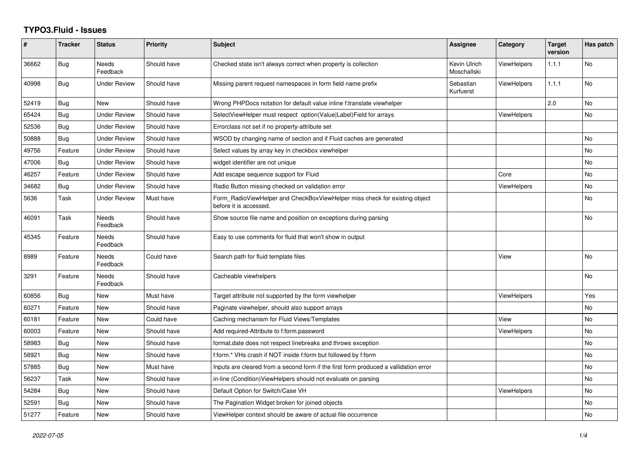## **TYPO3.Fluid - Issues**

| #     | <b>Tracker</b> | <b>Status</b>            | <b>Priority</b> | <b>Subject</b>                                                                                       | <b>Assignee</b>             | Category           | <b>Target</b><br>version | Has patch |
|-------|----------------|--------------------------|-----------------|------------------------------------------------------------------------------------------------------|-----------------------------|--------------------|--------------------------|-----------|
| 36662 | Bug            | Needs<br>Feedback        | Should have     | Checked state isn't always correct when property is collection                                       | Kevin Ulrich<br>Moschallski | ViewHelpers        | 1.1.1                    | No        |
| 40998 | Bug            | <b>Under Review</b>      | Should have     | Missing parent request namespaces in form field name prefix                                          | Sebastian<br>Kurfuerst      | <b>ViewHelpers</b> | 1.1.1                    | No        |
| 52419 | Bug            | <b>New</b>               | Should have     | Wrong PHPDocs notation for default value inline f:translate viewhelper                               |                             |                    | 2.0                      | <b>No</b> |
| 65424 | Bug            | <b>Under Review</b>      | Should have     | SelectViewHelper must respect option(Value Label)Field for arrays                                    |                             | <b>ViewHelpers</b> |                          | No        |
| 52536 | Bug            | <b>Under Review</b>      | Should have     | Errorclass not set if no property-attribute set                                                      |                             |                    |                          |           |
| 50888 | Bug            | <b>Under Review</b>      | Should have     | WSOD by changing name of section and if Fluid caches are generated                                   |                             |                    |                          | No        |
| 49756 | Feature        | <b>Under Review</b>      | Should have     | Select values by array key in checkbox viewhelper                                                    |                             |                    |                          | No        |
| 47006 | <b>Bug</b>     | <b>Under Review</b>      | Should have     | widget identifier are not unique                                                                     |                             |                    |                          | No        |
| 46257 | Feature        | <b>Under Review</b>      | Should have     | Add escape sequence support for Fluid                                                                |                             | Core               |                          | No        |
| 34682 | <b>Bug</b>     | <b>Under Review</b>      | Should have     | Radio Button missing checked on validation error                                                     |                             | ViewHelpers        |                          | No        |
| 5636  | Task           | <b>Under Review</b>      | Must have       | Form RadioViewHelper and CheckBoxViewHelper miss check for existing object<br>before it is accessed. |                             |                    |                          | No        |
| 46091 | Task           | <b>Needs</b><br>Feedback | Should have     | Show source file name and position on exceptions during parsing                                      |                             |                    |                          | <b>No</b> |
| 45345 | Feature        | <b>Needs</b><br>Feedback | Should have     | Easy to use comments for fluid that won't show in output                                             |                             |                    |                          |           |
| 8989  | Feature        | <b>Needs</b><br>Feedback | Could have      | Search path for fluid template files                                                                 |                             | View               |                          | <b>No</b> |
| 3291  | Feature        | Needs<br>Feedback        | Should have     | Cacheable viewhelpers                                                                                |                             |                    |                          | <b>No</b> |
| 60856 | Bug            | New                      | Must have       | Target attribute not supported by the form viewhelper                                                |                             | <b>ViewHelpers</b> |                          | Yes       |
| 60271 | Feature        | <b>New</b>               | Should have     | Paginate viewhelper, should also support arrays                                                      |                             |                    |                          | No        |
| 60181 | Feature        | <b>New</b>               | Could have      | Caching mechanism for Fluid Views/Templates                                                          |                             | View               |                          | <b>No</b> |
| 60003 | Feature        | New                      | Should have     | Add required-Attribute to f:form.password                                                            |                             | <b>ViewHelpers</b> |                          | No        |
| 58983 | Bug            | <b>New</b>               | Should have     | format.date does not respect linebreaks and throws exception                                         |                             |                    |                          | <b>No</b> |
| 58921 | <b>Bug</b>     | <b>New</b>               | Should have     | f:form.* VHs crash if NOT inside f:form but followed by f:form                                       |                             |                    |                          | No        |
| 57885 | Bug            | <b>New</b>               | Must have       | Inputs are cleared from a second form if the first form produced a vallidation error                 |                             |                    |                          | No        |
| 56237 | Task           | <b>New</b>               | Should have     | in-line (Condition) ViewHelpers should not evaluate on parsing                                       |                             |                    |                          | No        |
| 54284 | Bug            | New                      | Should have     | Default Option for Switch/Case VH                                                                    |                             | <b>ViewHelpers</b> |                          | <b>No</b> |
| 52591 | Bug            | New                      | Should have     | The Pagination Widget broken for joined objects                                                      |                             |                    |                          | No        |
| 51277 | Feature        | <b>New</b>               | Should have     | ViewHelper context should be aware of actual file occurrence                                         |                             |                    |                          | No        |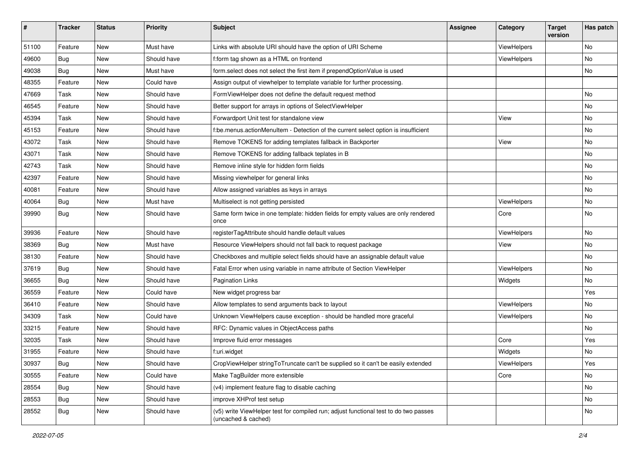| #     | <b>Tracker</b> | <b>Status</b> | <b>Priority</b> | Subject                                                                                                     | <b>Assignee</b> | Category    | <b>Target</b><br>version | Has patch |
|-------|----------------|---------------|-----------------|-------------------------------------------------------------------------------------------------------------|-----------------|-------------|--------------------------|-----------|
| 51100 | Feature        | New           | Must have       | Links with absolute URI should have the option of URI Scheme                                                |                 | ViewHelpers |                          | <b>No</b> |
| 49600 | Bug            | New           | Should have     | f:form tag shown as a HTML on frontend                                                                      |                 | ViewHelpers |                          | No        |
| 49038 | Bug            | New           | Must have       | form.select does not select the first item if prependOptionValue is used                                    |                 |             |                          | No        |
| 48355 | Feature        | New           | Could have      | Assign output of viewhelper to template variable for further processing.                                    |                 |             |                          |           |
| 47669 | Task           | New           | Should have     | FormViewHelper does not define the default request method                                                   |                 |             |                          | No        |
| 46545 | Feature        | <b>New</b>    | Should have     | Better support for arrays in options of SelectViewHelper                                                    |                 |             |                          | No        |
| 45394 | Task           | New           | Should have     | Forwardport Unit test for standalone view                                                                   |                 | View        |                          | No        |
| 45153 | Feature        | New           | Should have     | f:be.menus.actionMenuItem - Detection of the current select option is insufficient                          |                 |             |                          | No        |
| 43072 | Task           | New           | Should have     | Remove TOKENS for adding templates fallback in Backporter                                                   |                 | View        |                          | No        |
| 43071 | Task           | New           | Should have     | Remove TOKENS for adding fallback teplates in B                                                             |                 |             |                          | No        |
| 42743 | Task           | New           | Should have     | Remove inline style for hidden form fields                                                                  |                 |             |                          | No        |
| 42397 | Feature        | New           | Should have     | Missing viewhelper for general links                                                                        |                 |             |                          | No        |
| 40081 | Feature        | New           | Should have     | Allow assigned variables as keys in arrays                                                                  |                 |             |                          | No        |
| 40064 | Bug            | New           | Must have       | Multiselect is not getting persisted                                                                        |                 | ViewHelpers |                          | No        |
| 39990 | Bug            | New           | Should have     | Same form twice in one template: hidden fields for empty values are only rendered<br>once                   |                 | Core        |                          | No        |
| 39936 | Feature        | New           | Should have     | registerTagAttribute should handle default values                                                           |                 | ViewHelpers |                          | <b>No</b> |
| 38369 | Bug            | New           | Must have       | Resource ViewHelpers should not fall back to request package                                                |                 | View        |                          | No        |
| 38130 | Feature        | New           | Should have     | Checkboxes and multiple select fields should have an assignable default value                               |                 |             |                          | No        |
| 37619 | Bug            | New           | Should have     | Fatal Error when using variable in name attribute of Section ViewHelper                                     |                 | ViewHelpers |                          | No        |
| 36655 | Bug            | New           | Should have     | <b>Pagination Links</b>                                                                                     |                 | Widgets     |                          | No        |
| 36559 | Feature        | New           | Could have      | New widget progress bar                                                                                     |                 |             |                          | Yes       |
| 36410 | Feature        | New           | Should have     | Allow templates to send arguments back to layout                                                            |                 | ViewHelpers |                          | No        |
| 34309 | Task           | New           | Could have      | Unknown ViewHelpers cause exception - should be handled more graceful                                       |                 | ViewHelpers |                          | No        |
| 33215 | Feature        | New           | Should have     | RFC: Dynamic values in ObjectAccess paths                                                                   |                 |             |                          | No        |
| 32035 | Task           | New           | Should have     | Improve fluid error messages                                                                                |                 | Core        |                          | Yes       |
| 31955 | Feature        | New           | Should have     | f:uri.widget                                                                                                |                 | Widgets     |                          | No        |
| 30937 | <b>Bug</b>     | New           | Should have     | CropViewHelper stringToTruncate can't be supplied so it can't be easily extended                            |                 | ViewHelpers |                          | Yes       |
| 30555 | Feature        | New           | Could have      | Make TagBuilder more extensible                                                                             |                 | Core        |                          | No        |
| 28554 | Bug            | New           | Should have     | (v4) implement feature flag to disable caching                                                              |                 |             |                          | No        |
| 28553 | Bug            | New           | Should have     | improve XHProf test setup                                                                                   |                 |             |                          | No        |
| 28552 | <b>Bug</b>     | New           | Should have     | (v5) write ViewHelper test for compiled run; adjust functional test to do two passes<br>(uncached & cached) |                 |             |                          | No        |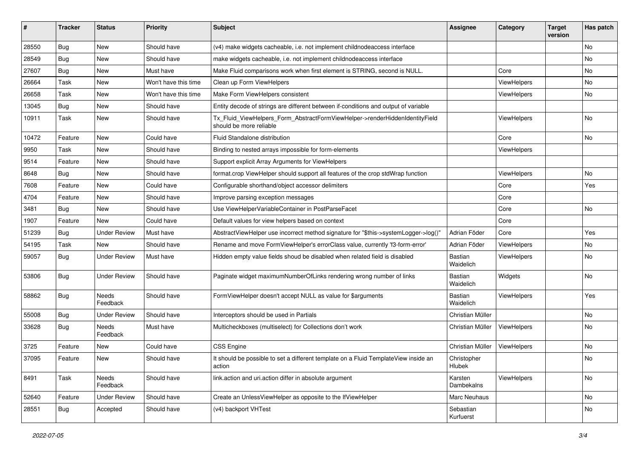| ∦     | <b>Tracker</b> | <b>Status</b>       | <b>Priority</b>      | <b>Subject</b>                                                                                         | <b>Assignee</b>        | Category    | <b>Target</b><br>version | Has patch |
|-------|----------------|---------------------|----------------------|--------------------------------------------------------------------------------------------------------|------------------------|-------------|--------------------------|-----------|
| 28550 | Bug            | New                 | Should have          | (v4) make widgets cacheable, i.e. not implement childnodeaccess interface                              |                        |             |                          | No        |
| 28549 | Bug            | New                 | Should have          | make widgets cacheable, i.e. not implement childnodeaccess interface                                   |                        |             |                          | No        |
| 27607 | Bug            | New                 | Must have            | Make Fluid comparisons work when first element is STRING, second is NULL.                              |                        | Core        |                          | No        |
| 26664 | Task           | New                 | Won't have this time | Clean up Form ViewHelpers                                                                              |                        | ViewHelpers |                          | No        |
| 26658 | Task           | New                 | Won't have this time | Make Form ViewHelpers consistent                                                                       |                        | ViewHelpers |                          | No        |
| 13045 | Bug            | New                 | Should have          | Entity decode of strings are different between if-conditions and output of variable                    |                        |             |                          |           |
| 10911 | Task           | New                 | Should have          | Tx_Fluid_ViewHelpers_Form_AbstractFormViewHelper->renderHiddenIdentityField<br>should be more reliable |                        | ViewHelpers |                          | No        |
| 10472 | Feature        | New                 | Could have           | Fluid Standalone distribution                                                                          |                        | Core        |                          | No        |
| 9950  | Task           | New                 | Should have          | Binding to nested arrays impossible for form-elements                                                  |                        | ViewHelpers |                          |           |
| 9514  | Feature        | New                 | Should have          | Support explicit Array Arguments for ViewHelpers                                                       |                        |             |                          |           |
| 8648  | Bug            | New                 | Should have          | format.crop ViewHelper should support all features of the crop stdWrap function                        |                        | ViewHelpers |                          | <b>No</b> |
| 7608  | Feature        | New                 | Could have           | Configurable shorthand/object accessor delimiters                                                      |                        | Core        |                          | Yes       |
| 4704  | Feature        | <b>New</b>          | Should have          | Improve parsing exception messages                                                                     |                        | Core        |                          |           |
| 3481  | Bug            | New                 | Should have          | Use ViewHelperVariableContainer in PostParseFacet                                                      |                        | Core        |                          | No        |
| 1907  | Feature        | New                 | Could have           | Default values for view helpers based on context                                                       |                        | Core        |                          |           |
| 51239 | Bug            | <b>Under Review</b> | Must have            | AbstractViewHelper use incorrect method signature for "\$this->systemLogger->log()"                    | Adrian Föder           | Core        |                          | Yes       |
| 54195 | Task           | New                 | Should have          | Rename and move FormViewHelper's errorClass value, currently 'f3-form-error'                           | Adrian Föder           | ViewHelpers |                          | No        |
| 59057 | Bug            | <b>Under Review</b> | Must have            | Hidden empty value fields shoud be disabled when related field is disabled                             | Bastian<br>Waidelich   | ViewHelpers |                          | No        |
| 53806 | Bug            | <b>Under Review</b> | Should have          | Paginate widget maximumNumberOfLinks rendering wrong number of links                                   | Bastian<br>Waidelich   | Widgets     |                          | No.       |
| 58862 | Bug            | Needs<br>Feedback   | Should have          | FormViewHelper doesn't accept NULL as value for \$arguments                                            | Bastian<br>Waidelich   | ViewHelpers |                          | Yes       |
| 55008 | Bug            | <b>Under Review</b> | Should have          | Interceptors should be used in Partials                                                                | Christian Müller       |             |                          | No        |
| 33628 | Bug            | Needs<br>Feedback   | Must have            | Multicheckboxes (multiselect) for Collections don't work                                               | Christian Müller       | ViewHelpers |                          | No        |
| 3725  | Feature        | New                 | Could have           | <b>CSS Engine</b>                                                                                      | Christian Müller       | ViewHelpers |                          | No        |
| 37095 | Feature        | New                 | Should have          | It should be possible to set a different template on a Fluid TemplateView inside an<br>action          | Christopher<br>Hlubek  |             |                          | No        |
| 8491  | Task           | Needs<br>Feedback   | Should have          | link.action and uri.action differ in absolute argument                                                 | Karsten<br>Dambekalns  | ViewHelpers |                          | No        |
| 52640 | Feature        | <b>Under Review</b> | Should have          | Create an UnlessViewHelper as opposite to the IfViewHelper                                             | Marc Neuhaus           |             |                          | No        |
| 28551 | <b>Bug</b>     | Accepted            | Should have          | (v4) backport VHTest                                                                                   | Sebastian<br>Kurfuerst |             |                          | No        |